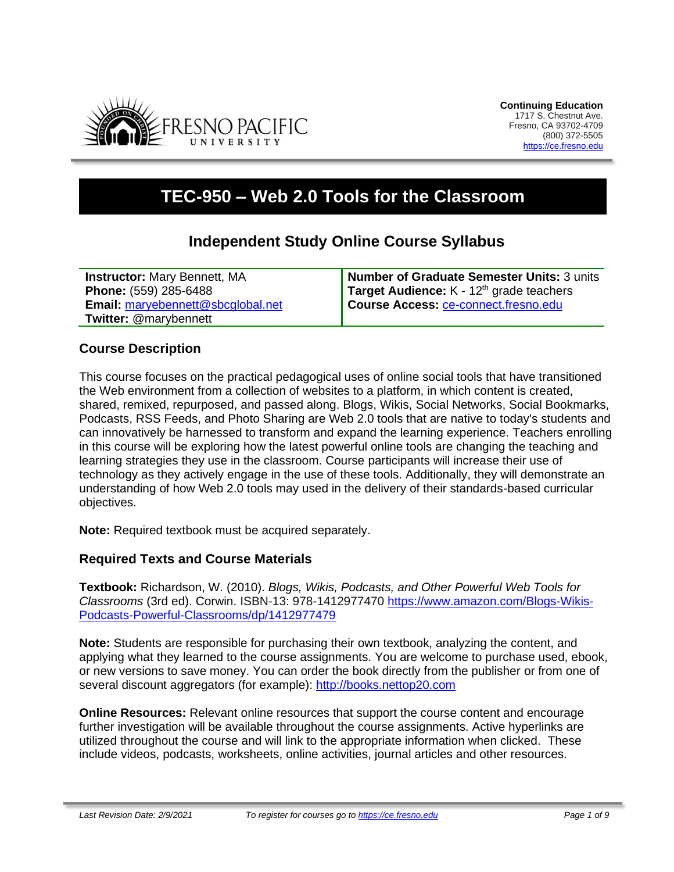

# **TEC-950 – Web 2.0 Tools for the Classroom**

## **Independent Study Online Course Syllabus**

**Instructor:** Mary Bennett, MA **Phone:** (559) 285-6488 **Email:** [maryebennett@sbcglobal.net](mailto:maryebennett@sbcglobal.net) **Twitter:** @marybennett

**Number of Graduate Semester Units:** 3 units Target Audience: K - 12<sup>th</sup> grade teachers **Course Access:** [ce-connect.fresno.edu](https://ce-connect.fresno.edu/)

## **Course Description**

This course focuses on the practical pedagogical uses of online social tools that have transitioned the Web environment from a collection of websites to a platform, in which content is created, shared, remixed, repurposed, and passed along. Blogs, Wikis, Social Networks, Social Bookmarks, Podcasts, RSS Feeds, and Photo Sharing are Web 2.0 tools that are native to today's students and can innovatively be harnessed to transform and expand the learning experience. Teachers enrolling in this course will be exploring how the latest powerful online tools are changing the teaching and learning strategies they use in the classroom. Course participants will increase their use of technology as they actively engage in the use of these tools. Additionally, they will demonstrate an understanding of how Web 2.0 tools may used in the delivery of their standards-based curricular objectives.

**Note:** Required textbook must be acquired separately.

## **Required Texts and Course Materials**

**Textbook:** Richardson, W. (2010). *Blogs, Wikis, Podcasts, and Other Powerful Web Tools for Classrooms* (3rd ed). Corwin. ISBN-13: 978-1412977470 [https://www.amazon.com/Blogs-Wikis-](https://www.amazon.com/Blogs-Wikis-Podcasts-Powerful-Classrooms/dp/1412977479)[Podcasts-Powerful-Classrooms/dp/1412977479](https://www.amazon.com/Blogs-Wikis-Podcasts-Powerful-Classrooms/dp/1412977479)

**Note:** Students are responsible for purchasing their own textbook, analyzing the content, and applying what they learned to the course assignments. You are welcome to purchase used, ebook, or new versions to save money. You can order the book directly from the publisher or from one of several discount aggregators (for example): [http://books.nettop20.com](http://books.nettop20.com/)

**Online Resources:** Relevant online resources that support the course content and encourage further investigation will be available throughout the course assignments. Active hyperlinks are utilized throughout the course and will link to the appropriate information when clicked. These include videos, podcasts, worksheets, online activities, journal articles and other resources.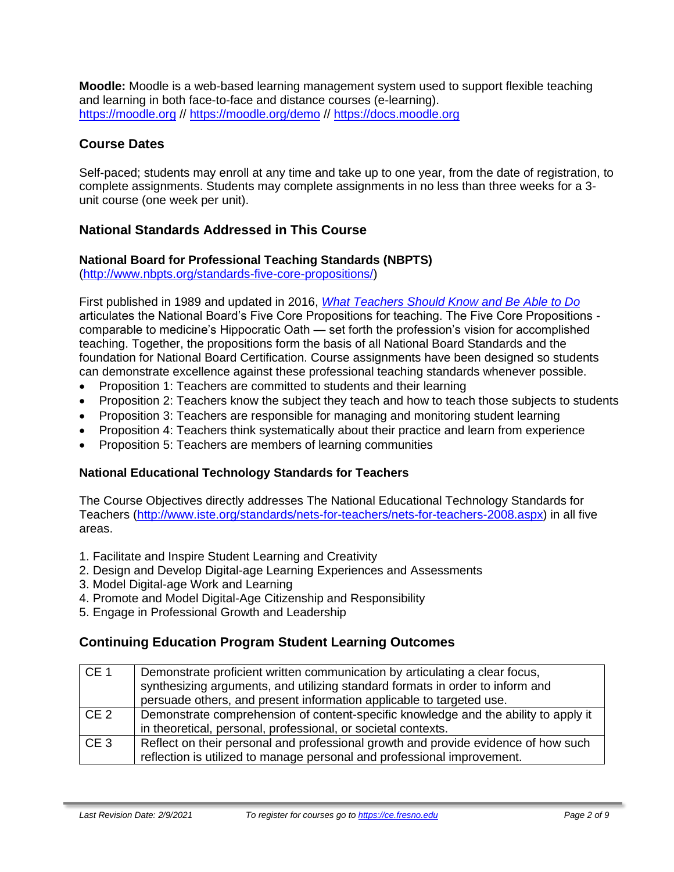**Moodle:** Moodle is a web-based learning management system used to support flexible teaching and learning in both face-to-face and distance courses (e-learning). [https://moodle.org](https://moodle.org/) // <https://moodle.org/demo> // [https://docs.moodle.org](https://docs.moodle.org/)

## **Course Dates**

Self-paced; students may enroll at any time and take up to one year, from the date of registration, to complete assignments. Students may complete assignments in no less than three weeks for a 3 unit course (one week per unit).

## **National Standards Addressed in This Course**

#### **National Board for Professional Teaching Standards (NBPTS)**

[\(http://www.nbpts.org/standards-five-core-propositions/\)](http://www.nbpts.org/standards-five-core-propositions/)

First published in 1989 and updated in 2016, *[What Teachers Should Know and Be Able to Do](http://www.accomplishedteacher.org/)* articulates the National Board's Five Core Propositions for teaching. The Five Core Propositions comparable to medicine's Hippocratic Oath — set forth the profession's vision for accomplished teaching. Together, the propositions form the basis of all National Board Standards and the foundation for National Board Certification. Course assignments have been designed so students can demonstrate excellence against these professional teaching standards whenever possible.

- Proposition 1: Teachers are committed to students and their learning
- Proposition 2: Teachers know the subject they teach and how to teach those subjects to students
- Proposition 3: Teachers are responsible for managing and monitoring student learning
- Proposition 4: Teachers think systematically about their practice and learn from experience
- Proposition 5: Teachers are members of learning communities

## **National Educational Technology Standards for Teachers**

The Course Objectives directly addresses The National Educational Technology Standards for Teachers [\(http://www.iste.org/standards/nets-for-teachers/nets-for-teachers-2008.aspx\)](http://www.iste.org/standards/nets-for-teachers/nets-for-teachers-2008.aspx) in all five areas.

- 1. Facilitate and Inspire Student Learning and Creativity
- 2. Design and Develop Digital-age Learning Experiences and Assessments
- 3. Model Digital-age Work and Learning
- 4. Promote and Model Digital-Age Citizenship and Responsibility
- 5. Engage in Professional Growth and Leadership

## **Continuing Education Program Student Learning Outcomes**

| CE <sub>1</sub> | Demonstrate proficient written communication by articulating a clear focus,         |  |  |
|-----------------|-------------------------------------------------------------------------------------|--|--|
|                 | synthesizing arguments, and utilizing standard formats in order to inform and       |  |  |
|                 | persuade others, and present information applicable to targeted use.                |  |  |
| CE <sub>2</sub> | Demonstrate comprehension of content-specific knowledge and the ability to apply it |  |  |
|                 | in theoretical, personal, professional, or societal contexts.                       |  |  |
| CE <sub>3</sub> | Reflect on their personal and professional growth and provide evidence of how such  |  |  |
|                 | reflection is utilized to manage personal and professional improvement.             |  |  |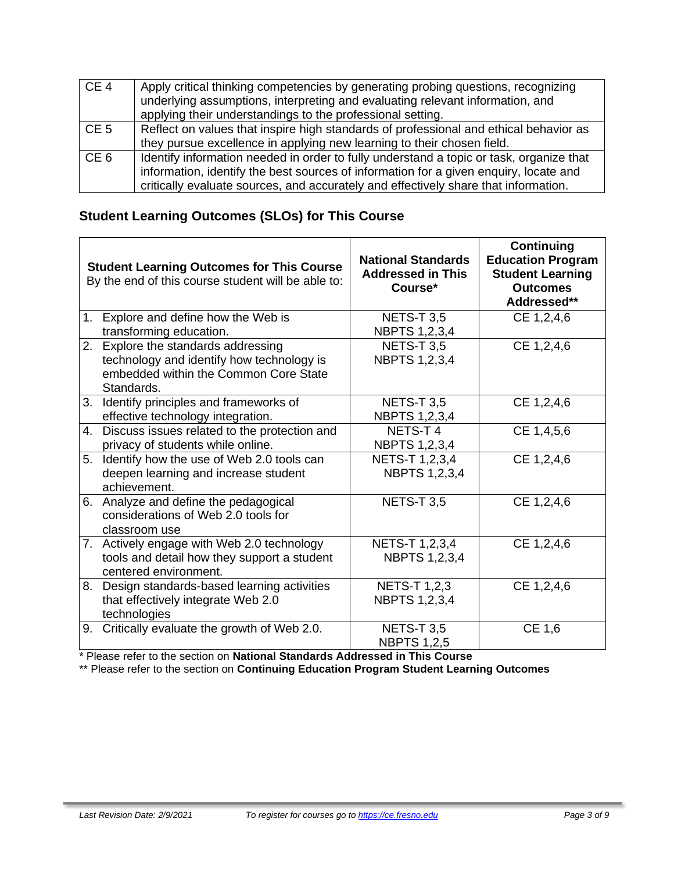| CE <sub>4</sub> | Apply critical thinking competencies by generating probing questions, recognizing<br>underlying assumptions, interpreting and evaluating relevant information, and<br>applying their understandings to the professional setting. |
|-----------------|----------------------------------------------------------------------------------------------------------------------------------------------------------------------------------------------------------------------------------|
| CE <sub>5</sub> | Reflect on values that inspire high standards of professional and ethical behavior as                                                                                                                                            |
|                 | they pursue excellence in applying new learning to their chosen field.                                                                                                                                                           |
| CE <sub>6</sub> | Identify information needed in order to fully understand a topic or task, organize that<br>information, identify the best sources of information for a given enquiry, locate and                                                 |
|                 | critically evaluate sources, and accurately and effectively share that information.                                                                                                                                              |

## **Student Learning Outcomes (SLOs) for This Course**

| <b>Student Learning Outcomes for This Course</b><br>By the end of this course student will be able to: |                                                                                                                                         | <b>National Standards</b><br><b>Addressed in This</b><br>Course* | <b>Continuing</b><br><b>Education Program</b><br><b>Student Learning</b><br><b>Outcomes</b><br>Addressed** |
|--------------------------------------------------------------------------------------------------------|-----------------------------------------------------------------------------------------------------------------------------------------|------------------------------------------------------------------|------------------------------------------------------------------------------------------------------------|
| 1.                                                                                                     | Explore and define how the Web is<br>transforming education.                                                                            | <b>NETS-T 3,5</b><br><b>NBPTS 1,2,3,4</b>                        | CE 1,2,4,6                                                                                                 |
|                                                                                                        | 2. Explore the standards addressing<br>technology and identify how technology is<br>embedded within the Common Core State<br>Standards. | <b>NETS-T 3,5</b><br><b>NBPTS 1,2,3,4</b>                        | CE 1,2,4,6                                                                                                 |
|                                                                                                        | 3. Identify principles and frameworks of<br>effective technology integration.                                                           | <b>NETS-T 3,5</b><br><b>NBPTS 1,2,3,4</b>                        | CE 1,2,4,6                                                                                                 |
| 4.                                                                                                     | Discuss issues related to the protection and<br>privacy of students while online.                                                       | NETS-T4<br><b>NBPTS 1,2,3,4</b>                                  | CE 1,4,5,6                                                                                                 |
| 5.                                                                                                     | Identify how the use of Web 2.0 tools can<br>deepen learning and increase student<br>achievement.                                       | NETS-T 1,2,3,4<br><b>NBPTS 1,2,3,4</b>                           | CE 1,2,4,6                                                                                                 |
|                                                                                                        | 6. Analyze and define the pedagogical<br>considerations of Web 2.0 tools for<br>classroom use                                           | <b>NETS-T 3,5</b>                                                | CE 1,2,4,6                                                                                                 |
|                                                                                                        | 7. Actively engage with Web 2.0 technology<br>tools and detail how they support a student<br>centered environment.                      | NETS-T 1,2,3,4<br><b>NBPTS 1,2,3,4</b>                           | CE 1,2,4,6                                                                                                 |
| 8.                                                                                                     | Design standards-based learning activities<br>that effectively integrate Web 2.0<br>technologies                                        | <b>NETS-T 1,2,3</b><br><b>NBPTS 1,2,3,4</b>                      | CE 1,2,4,6                                                                                                 |
| 9.                                                                                                     | Critically evaluate the growth of Web 2.0.                                                                                              | <b>NETS-T 3,5</b><br><b>NBPTS 1,2,5</b>                          | CE 1,6                                                                                                     |

\* Please refer to the section on **National Standards Addressed in This Course**

\*\* Please refer to the section on **Continuing Education Program Student Learning Outcomes**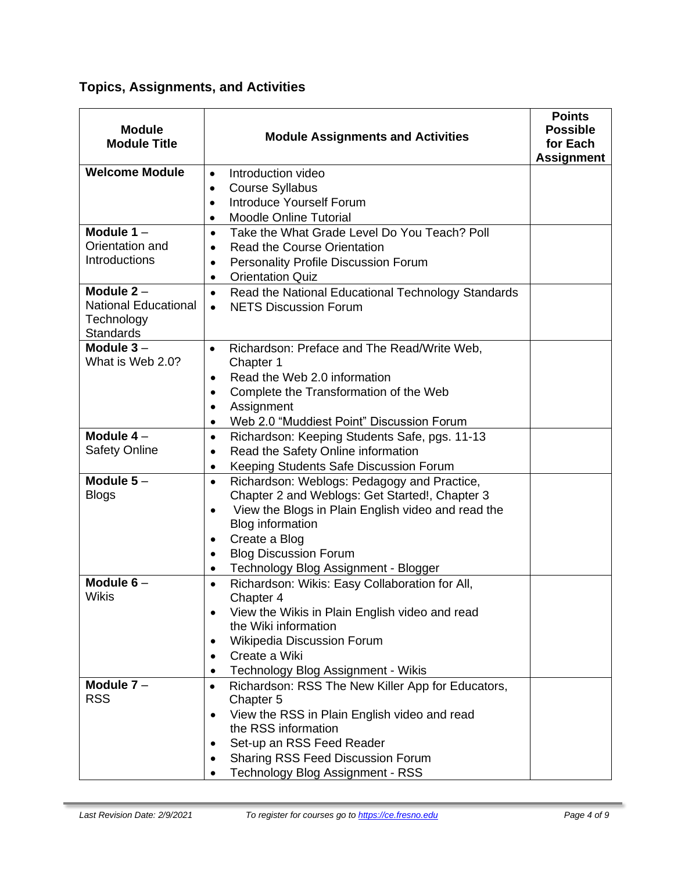## **Topics, Assignments, and Activities**

| <b>Module</b><br><b>Module Title</b>                                          | <b>Module Assignments and Activities</b>                                                                                                                                                                                                                                                                                         | <b>Points</b><br><b>Possible</b><br>for Each<br><b>Assignment</b> |
|-------------------------------------------------------------------------------|----------------------------------------------------------------------------------------------------------------------------------------------------------------------------------------------------------------------------------------------------------------------------------------------------------------------------------|-------------------------------------------------------------------|
| <b>Welcome Module</b>                                                         | Introduction video<br>$\bullet$<br><b>Course Syllabus</b><br>$\bullet$<br><b>Introduce Yourself Forum</b><br>$\bullet$<br><b>Moodle Online Tutorial</b>                                                                                                                                                                          |                                                                   |
| Module $1 -$<br>Orientation and<br>Introductions                              | Take the What Grade Level Do You Teach? Poll<br>$\bullet$<br><b>Read the Course Orientation</b><br>$\bullet$<br>Personality Profile Discussion Forum<br>$\bullet$<br><b>Orientation Quiz</b><br>$\bullet$                                                                                                                        |                                                                   |
| Module $2 -$<br><b>National Educational</b><br>Technology<br><b>Standards</b> | Read the National Educational Technology Standards<br>$\bullet$<br><b>NETS Discussion Forum</b><br>$\bullet$                                                                                                                                                                                                                     |                                                                   |
| Module $3 -$<br>What is Web 2.0?                                              | Richardson: Preface and The Read/Write Web,<br>$\bullet$<br>Chapter 1<br>Read the Web 2.0 information<br>$\bullet$<br>Complete the Transformation of the Web<br>$\bullet$<br>Assignment<br>$\bullet$<br>Web 2.0 "Muddiest Point" Discussion Forum<br>$\bullet$                                                                   |                                                                   |
| Module $4-$<br><b>Safety Online</b>                                           | Richardson: Keeping Students Safe, pgs. 11-13<br>$\bullet$<br>Read the Safety Online information<br>$\bullet$<br>Keeping Students Safe Discussion Forum<br>$\bullet$                                                                                                                                                             |                                                                   |
| Module $5-$<br><b>Blogs</b>                                                   | Richardson: Weblogs: Pedagogy and Practice,<br>$\bullet$<br>Chapter 2 and Weblogs: Get Started!, Chapter 3<br>View the Blogs in Plain English video and read the<br>$\bullet$<br><b>Blog information</b><br>Create a Blog<br>$\bullet$<br><b>Blog Discussion Forum</b><br>$\bullet$<br>Technology Blog Assignment - Blogger<br>٠ |                                                                   |
| Module $6-$<br>Wikis                                                          | Richardson: Wikis: Easy Collaboration for All,<br>$\bullet$<br>Chapter 4<br>View the Wikis in Plain English video and read<br>the Wiki information<br>Wikipedia Discussion Forum<br>Create a Wiki<br>$\bullet$<br>Technology Blog Assignment - Wikis                                                                             |                                                                   |
| Module $7 -$<br><b>RSS</b>                                                    | Richardson: RSS The New Killer App for Educators,<br>$\bullet$<br>Chapter 5<br>View the RSS in Plain English video and read<br>$\bullet$<br>the RSS information<br>Set-up an RSS Feed Reader<br><b>Sharing RSS Feed Discussion Forum</b><br><b>Technology Blog Assignment - RSS</b>                                              |                                                                   |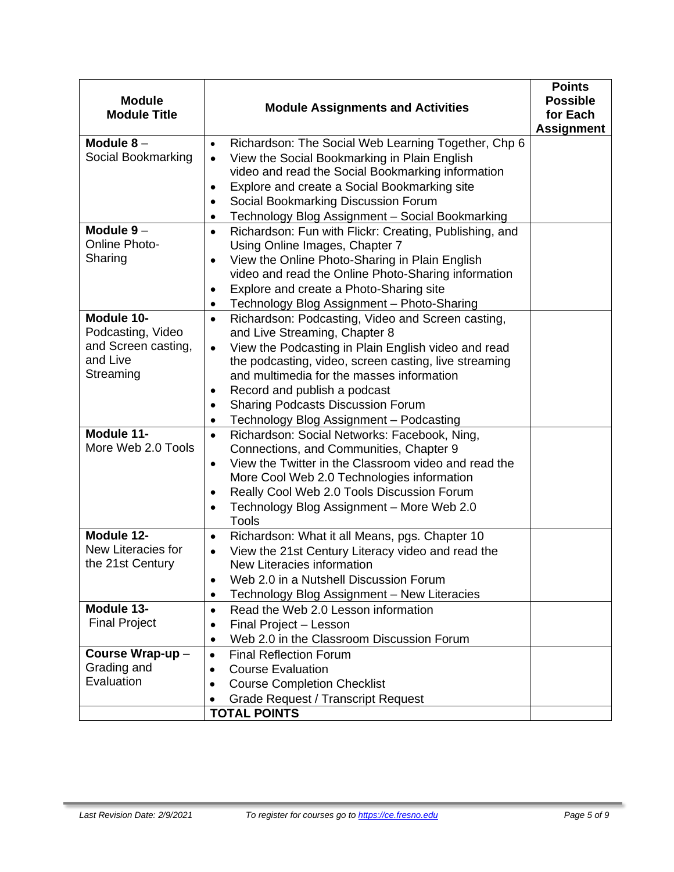| <b>Module</b><br><b>Module Title</b>                                            | <b>Module Assignments and Activities</b>                                                                                                                                                                                                                                                                                                                                                                           | <b>Points</b><br><b>Possible</b><br>for Each<br><b>Assignment</b> |
|---------------------------------------------------------------------------------|--------------------------------------------------------------------------------------------------------------------------------------------------------------------------------------------------------------------------------------------------------------------------------------------------------------------------------------------------------------------------------------------------------------------|-------------------------------------------------------------------|
| Module $8-$<br>Social Bookmarking                                               | Richardson: The Social Web Learning Together, Chp 6<br>$\bullet$<br>View the Social Bookmarking in Plain English<br>$\bullet$<br>video and read the Social Bookmarking information<br>Explore and create a Social Bookmarking site<br>$\bullet$<br>Social Bookmarking Discussion Forum<br>$\bullet$<br>Technology Blog Assignment - Social Bookmarking                                                             |                                                                   |
| Module $9-$<br><b>Online Photo-</b><br>Sharing                                  | Richardson: Fun with Flickr: Creating, Publishing, and<br>$\bullet$<br>Using Online Images, Chapter 7<br>View the Online Photo-Sharing in Plain English<br>$\bullet$<br>video and read the Online Photo-Sharing information<br>Explore and create a Photo-Sharing site<br>٠<br>Technology Blog Assignment - Photo-Sharing<br>٠                                                                                     |                                                                   |
| Module 10-<br>Podcasting, Video<br>and Screen casting,<br>and Live<br>Streaming | Richardson: Podcasting, Video and Screen casting,<br>$\bullet$<br>and Live Streaming, Chapter 8<br>View the Podcasting in Plain English video and read<br>$\bullet$<br>the podcasting, video, screen casting, live streaming<br>and multimedia for the masses information<br>Record and publish a podcast<br>٠<br><b>Sharing Podcasts Discussion Forum</b><br>$\bullet$<br>Technology Blog Assignment - Podcasting |                                                                   |
| Module 11-<br>More Web 2.0 Tools                                                | Richardson: Social Networks: Facebook, Ning,<br>$\bullet$<br>Connections, and Communities, Chapter 9<br>View the Twitter in the Classroom video and read the<br>$\bullet$<br>More Cool Web 2.0 Technologies information<br>Really Cool Web 2.0 Tools Discussion Forum<br>Technology Blog Assignment - More Web 2.0<br>٠<br>Tools                                                                                   |                                                                   |
| Module 12-<br>New Literacies for<br>the 21st Century                            | Richardson: What it all Means, pgs. Chapter 10<br>$\bullet$<br>View the 21st Century Literacy video and read the<br>$\bullet$<br>New Literacies information<br>Web 2.0 in a Nutshell Discussion Forum<br>$\bullet$<br>Technology Blog Assignment - New Literacies<br>$\bullet$                                                                                                                                     |                                                                   |
| Module 13-<br><b>Final Project</b>                                              | Read the Web 2.0 Lesson information<br>$\bullet$<br>Final Project - Lesson<br>$\bullet$<br>Web 2.0 in the Classroom Discussion Forum<br>$\bullet$                                                                                                                                                                                                                                                                  |                                                                   |
| Course Wrap-up-<br>Grading and<br>Evaluation                                    | <b>Final Reflection Forum</b><br>$\bullet$<br><b>Course Evaluation</b><br>$\bullet$<br><b>Course Completion Checklist</b><br>$\bullet$<br><b>Grade Request / Transcript Request</b><br><b>TOTAL POINTS</b>                                                                                                                                                                                                         |                                                                   |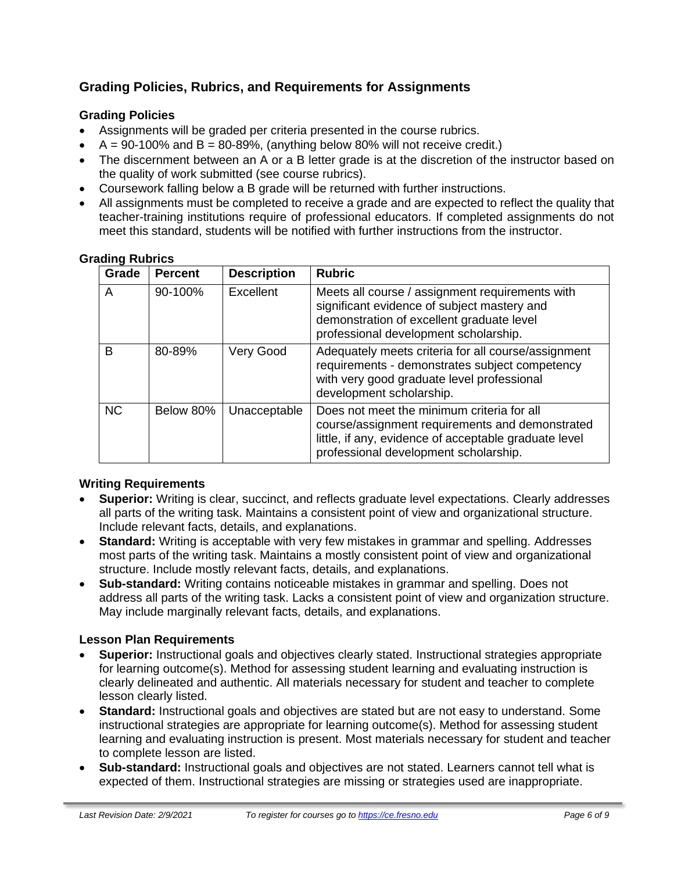## **Grading Policies, Rubrics, and Requirements for Assignments**

#### **Grading Policies**

- Assignments will be graded per criteria presented in the course rubrics.
- $A = 90-100\%$  and  $B = 80-89\%$ , (anything below 80% will not receive credit.)
- The discernment between an A or a B letter grade is at the discretion of the instructor based on the quality of work submitted (see course rubrics).
- Coursework falling below a B grade will be returned with further instructions.
- All assignments must be completed to receive a grade and are expected to reflect the quality that teacher-training institutions require of professional educators. If completed assignments do not meet this standard, students will be notified with further instructions from the instructor.

| Grade     | <b>Percent</b> | <b>Description</b> | <b>Rubric</b>                                                                                                                                                                                   |
|-----------|----------------|--------------------|-------------------------------------------------------------------------------------------------------------------------------------------------------------------------------------------------|
| A         | 90-100%        | Excellent          | Meets all course / assignment requirements with<br>significant evidence of subject mastery and<br>demonstration of excellent graduate level<br>professional development scholarship.            |
| в         | 80-89%         | Very Good          | Adequately meets criteria for all course/assignment<br>requirements - demonstrates subject competency<br>with very good graduate level professional<br>development scholarship.                 |
| <b>NC</b> | Below 80%      | Unacceptable       | Does not meet the minimum criteria for all<br>course/assignment requirements and demonstrated<br>little, if any, evidence of acceptable graduate level<br>professional development scholarship. |

#### **Grading Rubrics**

#### **Writing Requirements**

- **Superior:** Writing is clear, succinct, and reflects graduate level expectations. Clearly addresses all parts of the writing task. Maintains a consistent point of view and organizational structure. Include relevant facts, details, and explanations.
- **Standard:** Writing is acceptable with very few mistakes in grammar and spelling. Addresses most parts of the writing task. Maintains a mostly consistent point of view and organizational structure. Include mostly relevant facts, details, and explanations.
- **Sub-standard:** Writing contains noticeable mistakes in grammar and spelling. Does not address all parts of the writing task. Lacks a consistent point of view and organization structure. May include marginally relevant facts, details, and explanations.

#### **Lesson Plan Requirements**

- **Superior:** Instructional goals and objectives clearly stated. Instructional strategies appropriate for learning outcome(s). Method for assessing student learning and evaluating instruction is clearly delineated and authentic. All materials necessary for student and teacher to complete lesson clearly listed.
- **Standard:** Instructional goals and objectives are stated but are not easy to understand. Some instructional strategies are appropriate for learning outcome(s). Method for assessing student learning and evaluating instruction is present. Most materials necessary for student and teacher to complete lesson are listed.
- **Sub-standard:** Instructional goals and objectives are not stated. Learners cannot tell what is expected of them. Instructional strategies are missing or strategies used are inappropriate.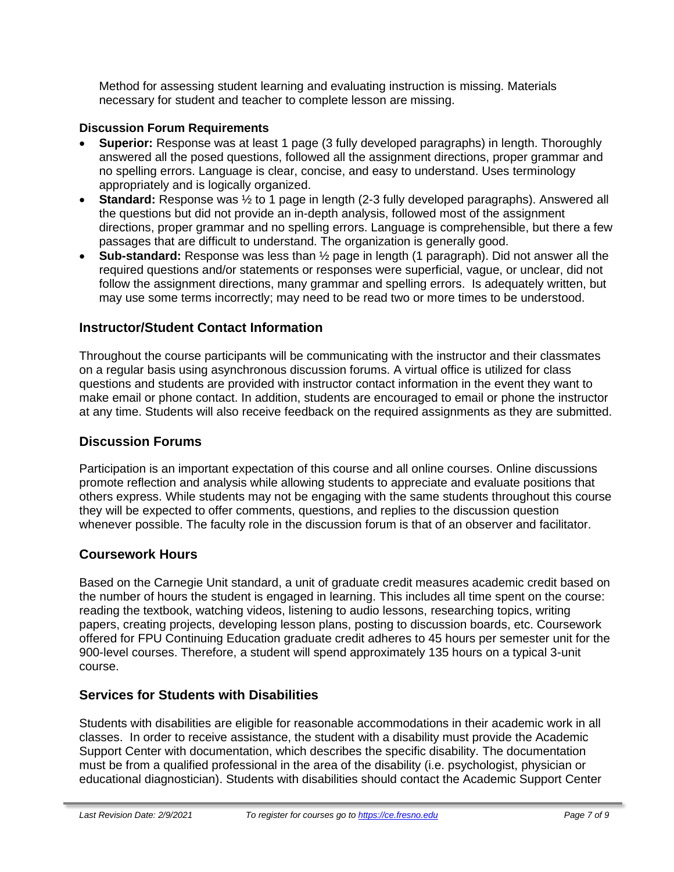Method for assessing student learning and evaluating instruction is missing. Materials necessary for student and teacher to complete lesson are missing.

#### **Discussion Forum Requirements**

- **Superior:** Response was at least 1 page (3 fully developed paragraphs) in length. Thoroughly answered all the posed questions, followed all the assignment directions, proper grammar and no spelling errors. Language is clear, concise, and easy to understand. Uses terminology appropriately and is logically organized.
- **Standard:** Response was  $\frac{1}{2}$  to 1 page in length (2-3 fully developed paragraphs). Answered all the questions but did not provide an in-depth analysis, followed most of the assignment directions, proper grammar and no spelling errors. Language is comprehensible, but there a few passages that are difficult to understand. The organization is generally good.
- **Sub-standard:** Response was less than ½ page in length (1 paragraph). Did not answer all the required questions and/or statements or responses were superficial, vague, or unclear, did not follow the assignment directions, many grammar and spelling errors. Is adequately written, but may use some terms incorrectly; may need to be read two or more times to be understood.

## **Instructor/Student Contact Information**

Throughout the course participants will be communicating with the instructor and their classmates on a regular basis using asynchronous discussion forums. A virtual office is utilized for class questions and students are provided with instructor contact information in the event they want to make email or phone contact. In addition, students are encouraged to email or phone the instructor at any time. Students will also receive feedback on the required assignments as they are submitted.

## **Discussion Forums**

Participation is an important expectation of this course and all online courses. Online discussions promote reflection and analysis while allowing students to appreciate and evaluate positions that others express. While students may not be engaging with the same students throughout this course they will be expected to offer comments, questions, and replies to the discussion question whenever possible. The faculty role in the discussion forum is that of an observer and facilitator.

## **Coursework Hours**

Based on the Carnegie Unit standard, a unit of graduate credit measures academic credit based on the number of hours the student is engaged in learning. This includes all time spent on the course: reading the textbook, watching videos, listening to audio lessons, researching topics, writing papers, creating projects, developing lesson plans, posting to discussion boards, etc. Coursework offered for FPU Continuing Education graduate credit adheres to 45 hours per semester unit for the 900-level courses. Therefore, a student will spend approximately 135 hours on a typical 3-unit course.

## **Services for Students with Disabilities**

Students with disabilities are eligible for reasonable accommodations in their academic work in all classes. In order to receive assistance, the student with a disability must provide the Academic Support Center with documentation, which describes the specific disability. The documentation must be from a qualified professional in the area of the disability (i.e. psychologist, physician or educational diagnostician). Students with disabilities should contact the Academic Support Center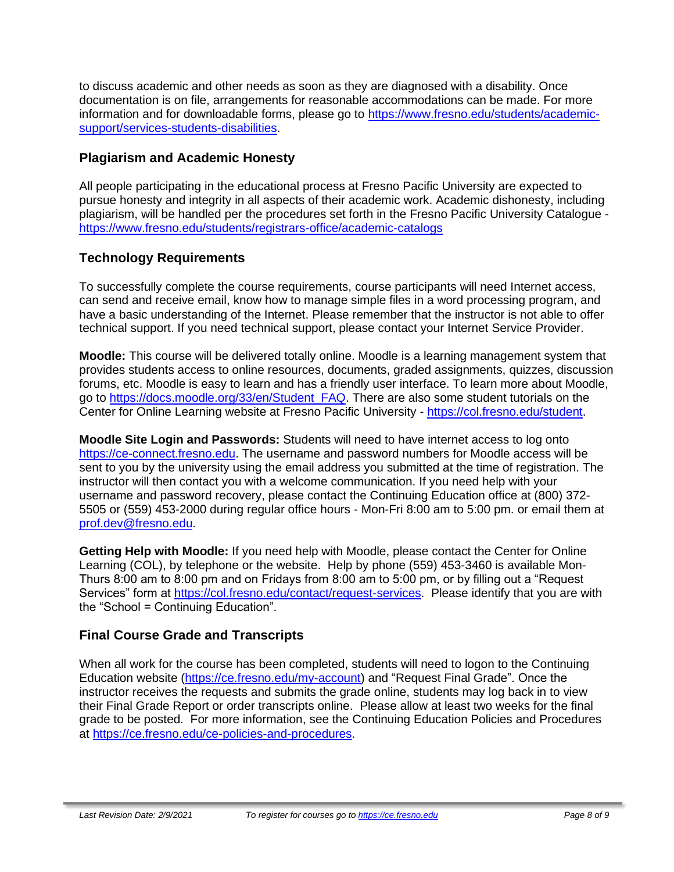to discuss academic and other needs as soon as they are diagnosed with a disability. Once documentation is on file, arrangements for reasonable accommodations can be made. For more information and for downloadable forms, please go to [https://www.fresno.edu/students/academic](https://www.fresno.edu/students/academic-support/services-students-disabilities)[support/services-students-disabilities.](https://www.fresno.edu/students/academic-support/services-students-disabilities)

## **Plagiarism and Academic Honesty**

All people participating in the educational process at Fresno Pacific University are expected to pursue honesty and integrity in all aspects of their academic work. Academic dishonesty, including plagiarism, will be handled per the procedures set forth in the Fresno Pacific University Catalogue <https://www.fresno.edu/students/registrars-office/academic-catalogs>

## **Technology Requirements**

To successfully complete the course requirements, course participants will need Internet access, can send and receive email, know how to manage simple files in a word processing program, and have a basic understanding of the Internet. Please remember that the instructor is not able to offer technical support. If you need technical support, please contact your Internet Service Provider.

**Moodle:** This course will be delivered totally online. Moodle is a learning management system that provides students access to online resources, documents, graded assignments, quizzes, discussion forums, etc. Moodle is easy to learn and has a friendly user interface. To learn more about Moodle, go to [https://docs.moodle.org/33/en/Student\\_FAQ.](https://docs.moodle.org/33/en/Student_FAQ) There are also some student tutorials on the Center for Online Learning website at Fresno Pacific University - [https://col.fresno.edu/student.](https://col.fresno.edu/student)

**Moodle Site Login and Passwords:** Students will need to have internet access to log onto [https://ce-connect.fresno.edu.](https://ce-connect.fresno.edu/) The username and password numbers for Moodle access will be sent to you by the university using the email address you submitted at the time of registration. The instructor will then contact you with a welcome communication. If you need help with your username and password recovery, please contact the Continuing Education office at (800) 372- 5505 or (559) 453-2000 during regular office hours - Mon-Fri 8:00 am to 5:00 pm. or email them at [prof.dev@fresno.edu.](mailto:prof.dev@fresno.edu)

**Getting Help with Moodle:** If you need help with Moodle, please contact the Center for Online Learning (COL), by telephone or the website. Help by phone (559) 453-3460 is available Mon-Thurs 8:00 am to 8:00 pm and on Fridays from 8:00 am to 5:00 pm, or by filling out a "Request Services" form at [https://col.fresno.edu/contact/request-services.](https://col.fresno.edu/contact/request-services) Please identify that you are with the "School = Continuing Education".

## **Final Course Grade and Transcripts**

When all work for the course has been completed, students will need to logon to the Continuing Education website [\(https://ce.fresno.edu/my-account\)](https://ce.fresno.edu/my-account) and "Request Final Grade". Once the instructor receives the requests and submits the grade online, students may log back in to view their Final Grade Report or order transcripts online. Please allow at least two weeks for the final grade to be posted. For more information, see the Continuing Education Policies and Procedures at [https://ce.fresno.edu/ce-policies-and-procedures.](https://ce.fresno.edu/ce-policies-and-procedures)